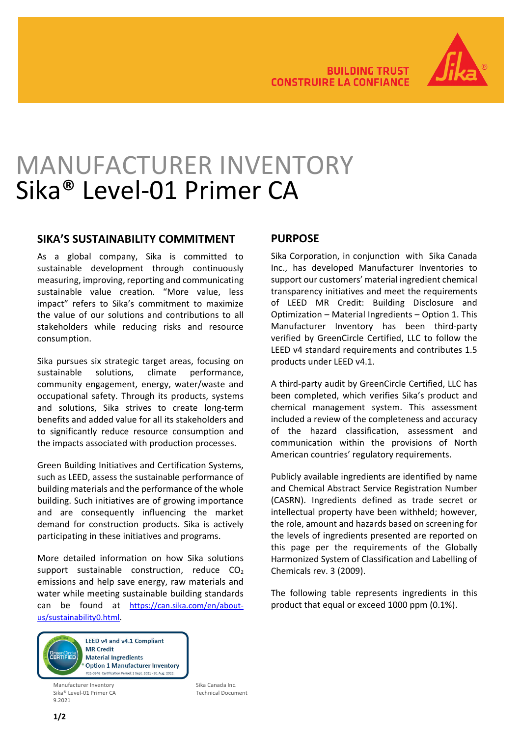

# MANUFACTURER INVENTORY Sika® Level-01 Primer CA

#### **SIKA'S SUSTAINABILITY COMMITMENT**

As a global company, Sika is committed to sustainable development through continuously measuring, improving, reporting and communicating sustainable value creation. "More value, less impact" refers to Sika's commitment to maximize the value of our solutions and contributions to all stakeholders while reducing risks and resource consumption.

Sika pursues six strategic target areas, focusing on sustainable solutions, climate performance, community engagement, energy, water/waste and occupational safety. Through its products, systems and solutions, Sika strives to create long-term benefits and added value for all its stakeholders and to significantly reduce resource consumption and the impacts associated with production processes.

Green Building Initiatives and Certification Systems, such as LEED, assess the sustainable performance of building materials and the performance of the whole building. Such initiatives are of growing importance and are consequently influencing the market demand for construction products. Sika is actively participating in these initiatives and programs.

More detailed information on how Sika solutions support sustainable construction, reduce  $CO<sub>2</sub>$ emissions and help save energy, raw materials and water while meeting sustainable building standards can be found at [https://can.sika.com/en/about](https://can.sika.com/en/about-us/sustainability0.html)[us/sustainability0.html.](https://can.sika.com/en/about-us/sustainability0.html)



Manufacturer Inventory<br>Sika® Level-01 Primer CA Sika Canada Inc. Sika<sup>®</sup> Level-01 Primer CA 9.2021

### **PURPOSE**

Sika Corporation, in conjunction with Sika Canada Inc., has developed Manufacturer Inventories to support our customers' material ingredient chemical transparency initiatives and meet the requirements of LEED MR Credit: Building Disclosure and Optimization – Material Ingredients – Option 1. This Manufacturer Inventory has been third-party verified by GreenCircle Certified, LLC to follow the LEED v4 standard requirements and contributes 1.5 products under LEED v4.1.

A third-party audit by GreenCircle Certified, LLC has been completed, which verifies Sika's product and chemical management system. This assessment included a review of the completeness and accuracy of the hazard classification, assessment and communication within the provisions of North American countries' regulatory requirements.

Publicly available ingredients are identified by name and Chemical Abstract Service Registration Number (CASRN). Ingredients defined as trade secret or intellectual property have been withheld; however, the role, amount and hazards based on screening for the levels of ingredients presented are reported on this page per the requirements of the Globally Harmonized System of Classification and Labelling of Chemicals rev. 3 (2009).

The following table represents ingredients in this product that equal or exceed 1000 ppm (0.1%).